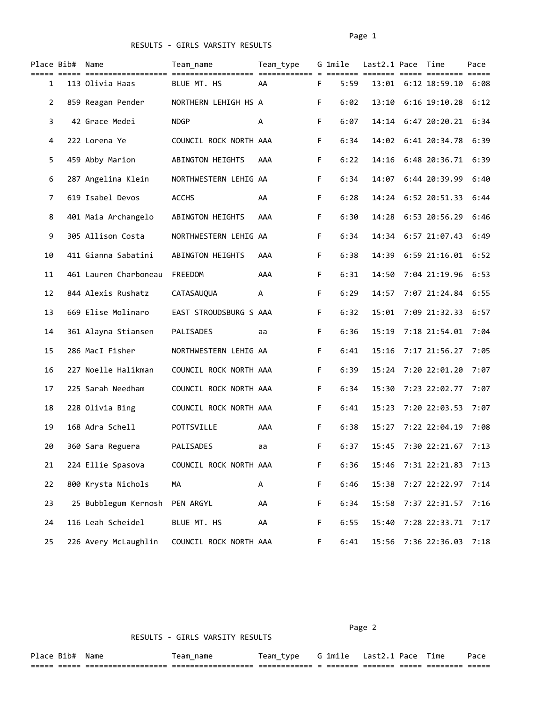| Place Bib#     | Name                  | Team name              | Team type |    | G 1mile | Last2.1 Pace Time |                          | Pace |
|----------------|-----------------------|------------------------|-----------|----|---------|-------------------|--------------------------|------|
| 1              | 113 Olivia Haas       | BLUE MT. HS            | AA        | F  | 5:59    | ==== ====         | 13:01 6:12 18:59.10 6:08 |      |
| $\overline{2}$ | 859 Reagan Pender     | NORTHERN LEHIGH HS A   |           | F  | 6:02    | 13:10             | $6:16$ 19:10.28          | 6:12 |
| 3              | 42 Grace Medei        | <b>NDGP</b>            | А         | F  | 6:07    | 14:14             | $6:47$ 20:20.21 $6:34$   |      |
| 4              | 222 Lorena Ye         | COUNCIL ROCK NORTH AAA |           | F. | 6:34    |                   | 14:02 6:41 20:34.78      | 6:39 |
| 5.             | 459 Abby Marion       | ABINGTON HEIGHTS       | AAA       | F. | 6:22    | 14:16             | 6:48 20:36.71 6:39       |      |
| 6              | 287 Angelina Klein    | NORTHWESTERN LEHIG AA  |           | F. | 6:34    | 14:07             | 6:44 20:39.99            | 6:40 |
| 7              | 619 Isabel Devos      | <b>ACCHS</b>           | AA        | F. | 6:28    | 14:24             | 6:52 20:51.33            | 6:44 |
| 8              | 401 Maia Archangelo   | ABINGTON HEIGHTS       | AAA       | F  | 6:30    | 14:28             | 6:53 20:56.29            | 6:46 |
| 9              | 305 Allison Costa     | NORTHWESTERN LEHIG AA  |           | F. | 6:34    | 14:34             | 6:57 21:07.43 6:49       |      |
| 10             | 411 Gianna Sabatini   | ABINGTON HEIGHTS       | AAA       | F. | 6:38    | 14:39             | 6:59 21:16.01 6:52       |      |
| 11             | 461 Lauren Charboneau | FREEDOM                | AAA       | F. | 6:31    | 14:50             | 7:04 21:19.96 6:53       |      |
| 12             | 844 Alexis Rushatz    | CATASAUQUA             | А         | F. | 6:29    | 14:57             | 7:07 21:24.84            | 6:55 |
| 13             | 669 Elise Molinaro    | EAST STROUDSBURG S AAA |           | F  | 6:32    | 15:01             | 7:09 21:32.33            | 6:57 |
| 14             | 361 Alayna Stiansen   | PALISADES              | aa        | F. | 6:36    | 15:19             | 7:18 21:54.01 7:04       |      |
| 15             | 286 MacI Fisher       | NORTHWESTERN LEHIG AA  |           | F. | 6:41    | 15:16             | 7:17 21:56.27 7:05       |      |
| 16             | 227 Noelle Halikman   | COUNCIL ROCK NORTH AAA |           | F. | 6:39    | 15:24             | 7:20 22:01.20            | 7:07 |
| 17             | 225 Sarah Needham     | COUNCIL ROCK NORTH AAA |           | F. | 6:34    | 15:30             | 7:23 22:02.77            | 7:07 |
| 18             | 228 Olivia Bing       | COUNCIL ROCK NORTH AAA |           | F  | 6:41    | 15:23             | 7:20 22:03.53            | 7:07 |
| 19             | 168 Adra Schell       | POTTSVILLE             | AAA       | F. | 6:38    | 15:27             | 7:22 22:04.19            | 7:08 |
| 20             | 360 Sara Reguera      | PALISADES              | aa        | F  | 6:37    |                   | 15:45 7:30 22:21.67 7:13 |      |
| 21             | 224 Ellie Spasova     | COUNCIL ROCK NORTH AAA |           | F  | 6:36    |                   | 15:46 7:31 22:21.83 7:13 |      |
| 22             | 800 Krysta Nichols    | MА                     | A         | F  | 6:46    | 15:38             | 7:27 22:22.97            | 7:14 |
| 23             | 25 Bubblegum Kernosh  | PEN ARGYL              | AA        | F  | 6:34    | 15:58             | 7:37 22:31.57            | 7:16 |
| 24             | 116 Leah Scheidel     | BLUE MT. HS            | AA        | F  | 6:55    | 15:40             | 7:28 22:33.71            | 7:17 |
| 25             | 226 Avery McLaughlin  | COUNCIL ROCK NORTH AAA |           | F  | 6:41    | 15:56             | 7:36 22:36.03            | 7:18 |

Page 2 and the contract of the contract of the contract of the contract of the contract of the contract of the

| --           | L D+   | Name                                       | name<br>eam              | eam<br>יש י<br>_ | . . | $-$<br>lmıı | ast | $\sim$ | $- \cdot$<br>ıme | $\sim$          |
|--------------|--------|--------------------------------------------|--------------------------|------------------|-----|-------------|-----|--------|------------------|-----------------|
| ---<br>$- -$ | ______ | -------------------<br>___________________ | ________________<br>$ -$ |                  |     |             |     |        | $ -$             | _____<br>______ |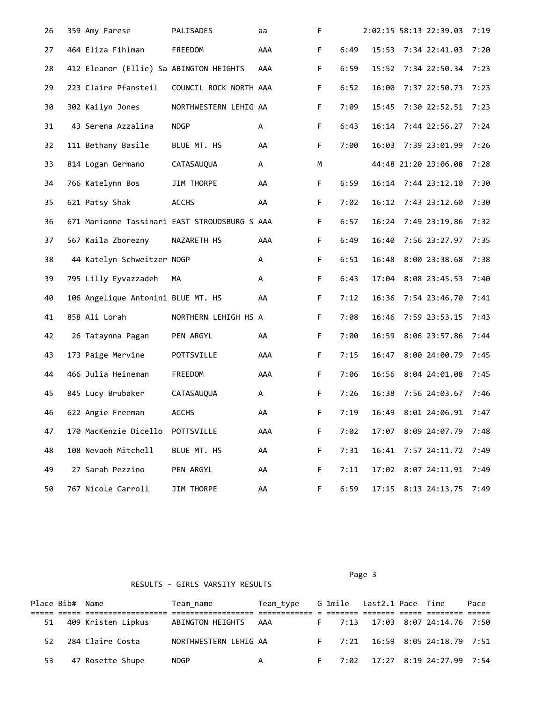| 26 | 359 Amy Farese                          | PALISADES                                     | aa  | F           |      |       | 2:02:15 58:13 22:39.03   | 7:19 |
|----|-----------------------------------------|-----------------------------------------------|-----|-------------|------|-------|--------------------------|------|
| 27 | 464 Eliza Fihlman                       | FREEDOM                                       | AAA | F.          | 6:49 |       | 15:53 7:34 22:41.03      | 7:20 |
| 28 | 412 Eleanor (Ellie) Sa ABINGTON HEIGHTS |                                               | AAA | F           | 6:59 |       | 15:52 7:34 22:50.34 7:23 |      |
| 29 | 223 Claire Pfansteil                    | COUNCIL ROCK NORTH AAA                        |     | F           | 6:52 | 16:00 | 7:37 22:50.73 7:23       |      |
| 30 | 302 Kailyn Jones                        | NORTHWESTERN LEHIG AA                         |     | F.          | 7:09 |       | 15:45 7:30 22:52.51 7:23 |      |
| 31 | 43 Serena Azzalina                      | <b>NDGP</b>                                   | A   | F.          | 6:43 |       | 16:14 7:44 22:56.27 7:24 |      |
| 32 | 111 Bethany Basile                      | BLUE MT. HS                                   | AA  | $\mathsf F$ | 7:00 |       | 16:03 7:39 23:01.99      | 7:26 |
| 33 | 814 Logan Germano                       | CATASAUQUA                                    | A   | М           |      |       | 44:48 21:20 23:06.08     | 7:28 |
| 34 | 766 Katelynn Bos                        | JIM THORPE                                    | AA  | $\mathsf F$ | 6:59 |       | 16:14 7:44 23:12.10 7:30 |      |
| 35 | 621 Patsy Shak                          | <b>ACCHS</b>                                  | AA  | F.          | 7:02 |       | 16:12 7:43 23:12.60 7:30 |      |
| 36 |                                         | 671 Marianne Tassinari EAST STROUDSBURG S AAA |     | F.          | 6:57 |       | 16:24 7:49 23:19.86 7:32 |      |
| 37 | 567 Kaila Zborezny                      | NAZARETH HS                                   | AAA | $\mathsf F$ | 6:49 | 16:40 | 7:56 23:27.97 7:35       |      |
| 38 | 44 Katelyn Schweitzer NDGP              |                                               | А   | F.          | 6:51 | 16:48 | 8:00 23:38.68            | 7:38 |
| 39 | 795 Lilly Eyvazzadeh                    | MА                                            | A   | $\mathsf F$ | 6:43 |       | 17:04 8:08 23:45.53 7:40 |      |
| 40 | 106 Angelique Antonini BLUE MT. HS      |                                               | AA  | F.          | 7:12 |       | 16:36 7:54 23:46.70 7:41 |      |
| 41 | 858 Ali Lorah                           | NORTHERN LEHIGH HS A                          |     | F.          | 7:08 | 16:46 | 7:59 23:53.15 7:43       |      |
| 42 | 26 Tataynna Pagan                       | PEN ARGYL                                     | AA  | F.          | 7:00 | 16:59 | 8:06 23:57.86            | 7:44 |
| 43 | 173 Paige Mervine                       | POTTSVILLE                                    | AAA | F.          | 7:15 | 16:47 | 8:00 24:00.79            | 7:45 |
| 44 | 466 Julia Heineman                      | FREEDOM                                       | AAA | $\mathsf F$ | 7:06 |       | 16:56 8:04 24:01.08 7:45 |      |
| 45 | 845 Lucy Brubaker                       | CATASAUQUA                                    | A   | F.          | 7:26 |       | 16:38 7:56 24:03.67 7:46 |      |
| 46 | 622 Angie Freeman                       | <b>ACCHS</b>                                  | AA  | F           | 7:19 |       | 16:49 8:01 24:06.91 7:47 |      |
| 47 | 170 MacKenzie Dicello POTTSVILLE        |                                               | AAA | F           | 7:02 |       | 17:07 8:09 24:07.79      | 7:48 |
| 48 | 108 Nevaeh Mitchell                     | BLUE MT. HS                                   | AA  | F           | 7:31 |       | 16:41 7:57 24:11.72      | 7:49 |
| 49 | 27 Sarah Pezzino                        | PEN ARGYL                                     | AA  | F           | 7:11 |       | 17:02 8:07 24:11.91      | 7:49 |
| 50 | 767 Nicole Carroll                      | JIM THORPE                                    | AA  | F           | 6:59 |       | 17:15 8:13 24:13.75      | 7:49 |

Page 3 and 2012 and 2012 and 2012 and 2012 and 2012 and 2012 and 2012 and 2012 and 2012 and 2012 and 2012 and

|     | Place Bib# Name |                    | Team name             | Team type     G 1mile   Last2.1 Pace  Time                                                                                                                                                                                                                                                                                         |  |  |                                 | Pace |  |
|-----|-----------------|--------------------|-----------------------|------------------------------------------------------------------------------------------------------------------------------------------------------------------------------------------------------------------------------------------------------------------------------------------------------------------------------------|--|--|---------------------------------|------|--|
|     |                 |                    |                       |                                                                                                                                                                                                                                                                                                                                    |  |  |                                 |      |  |
| 51  |                 | 409 Kristen Lipkus | ABINGTON HEIGHTS AAA  |                                                                                                                                                                                                                                                                                                                                    |  |  | F 7:13 17:03 8:07 24:14.76 7:50 |      |  |
| 52. |                 | 284 Claire Costa   | NORTHWESTERN LEHIG AA |                                                                                                                                                                                                                                                                                                                                    |  |  | F 7:21 16:59 8:05 24:18.79 7:51 |      |  |
| 53  |                 | 47 Rosette Shupe   | <b>NDGP</b>           | $\overline{A}$ and $\overline{A}$ and $\overline{A}$ and $\overline{A}$ and $\overline{A}$ and $\overline{A}$ and $\overline{A}$ and $\overline{A}$ and $\overline{A}$ and $\overline{A}$ and $\overline{A}$ and $\overline{A}$ and $\overline{A}$ and $\overline{A}$ and $\overline{A}$ and $\overline{A}$ and $\overline{A}$ and |  |  | F 7:02 17:27 8:19 24:27.99 7:54 |      |  |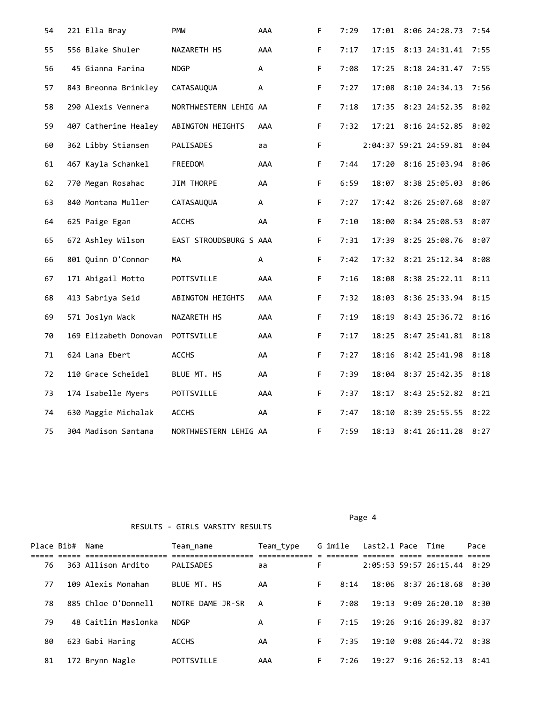| 54 | 221 Ella Bray        |                       | <b>PMW</b>             | AAA | F           | 7:29 |       | 17:01 8:06 24:28.73         | 7:54 |
|----|----------------------|-----------------------|------------------------|-----|-------------|------|-------|-----------------------------|------|
| 55 | 556 Blake Shuler     |                       | NAZARETH HS            | AAA | F           | 7:17 | 17:15 | 8:13 24:31.41               | 7:55 |
| 56 | 45 Gianna Farina     |                       | <b>NDGP</b>            | А   | F.          | 7:08 | 17:25 | 8:18 24:31.47               | 7:55 |
| 57 | 843 Breonna Brinkley |                       | CATASAUQUA             | А   | F.          | 7:27 | 17:08 | 8:10 24:34.13 7:56          |      |
| 58 | 290 Alexis Vennera   |                       | NORTHWESTERN LEHIG AA  |     | F.          | 7:18 | 17:35 | 8:23 24:52.35 8:02          |      |
| 59 | 407 Catherine Healey |                       | ABINGTON HEIGHTS       | AAA | $\mathsf F$ | 7:32 | 17:21 | 8:16 24:52.85               | 8:02 |
| 60 | 362 Libby Stiansen   |                       | PALISADES              | aa  | F           |      |       | 2:04:37 59:21 24:59.81 8:04 |      |
| 61 | 467 Kayla Schankel   |                       | FREEDOM                | AAA | F.          | 7:44 |       | 17:20 8:16 25:03.94 8:06    |      |
| 62 | 770 Megan Rosahac    |                       | JIM THORPE             | AA  | F.          | 6:59 |       | 18:07 8:38 25:05.03 8:06    |      |
| 63 | 840 Montana Muller   |                       | CATASAUQUA             | A   | F           | 7:27 |       | 17:42 8:26 25:07.68         | 8:07 |
| 64 | 625 Paige Egan       |                       | <b>ACCHS</b>           | AA  | F.          | 7:10 | 18:00 | 8:34 25:08.53 8:07          |      |
| 65 | 672 Ashley Wilson    |                       | EAST STROUDSBURG S AAA |     | $\mathsf F$ | 7:31 | 17:39 | 8:25 25:08.76 8:07          |      |
| 66 | 801 Quinn O'Connor   |                       | MA                     | A   | $\mathsf F$ | 7:42 |       | 17:32 8:21 25:12.34 8:08    |      |
| 67 | 171 Abigail Motto    |                       | POTTSVILLE             | AAA | $\mathsf F$ | 7:16 | 18:08 | 8:38 25:22.11               | 8:11 |
| 68 | 413 Sabriya Seid     |                       | ABINGTON HEIGHTS       | AAA | $\mathsf F$ | 7:32 |       | 18:03 8:36 25:33.94 8:15    |      |
| 69 | 571 Joslyn Wack      |                       | NAZARETH HS            | AAA | F.          | 7:19 | 18:19 | 8:43 25:36.72 8:16          |      |
| 70 |                      | 169 Elizabeth Donovan | POTTSVILLE             | AAA | $\mathsf F$ | 7:17 | 18:25 | 8:47 25:41.81 8:18          |      |
| 71 | 624 Lana Ebert       |                       | ACCHS                  | AA  | F.          | 7:27 | 18:16 | 8:42 25:41.98               | 8:18 |
| 72 | 110 Grace Scheidel   |                       | BLUE MT. HS            | AA  | F.          | 7:39 | 18:04 | 8:37 25:42.35 8:18          |      |
| 73 | 174 Isabelle Myers   |                       | POTTSVILLE             | AAA | F.          | 7:37 | 18:17 | 8:43 25:52.82 8:21          |      |
| 74 | 630 Maggie Michalak  |                       | <b>ACCHS</b>           | AA  | F           | 7:47 | 18:10 | 8:39 25:55.55 8:22          |      |
| 75 | 304 Madison Santana  |                       | NORTHWESTERN LEHIG AA  |     | F           | 7:59 |       | 18:13 8:41 26:11.28         | 8:27 |

Place Bib# Name Team\_name Team\_type G 1mile Last2.1 Pace Time Pace ===== ===== ================== ================== ============ = ======= ======= ===== ======== ===== 76 363 Allison Ardito PALISADES aa 77 109 Alexis Monahan BLUE MT. HS AA F 8:14 18:06 8:37 26:18.68 8:30 78 885 Chloe O'Donnell NOTRE DAME JR-SR A F 7:08 19:13 9:09 26:20.10 8:30 79 48 Caitlin Maslonka NDGP A F 7:15 19:26 9:16 26:39.82 8:37 80 623 Gabi Haring ACCHS AA F 7:35 19:10 9:08 26:44.72 8:38 81 172 Brynn Nagle POTTSVILLE AAA F 7:26 19:27 9:16 26:52.13 8:41

Page 4 and the state of the state of the state of the state of the state of the state of the state of the state of the state of the state of the state of the state of the state of the state of the state of the state of the